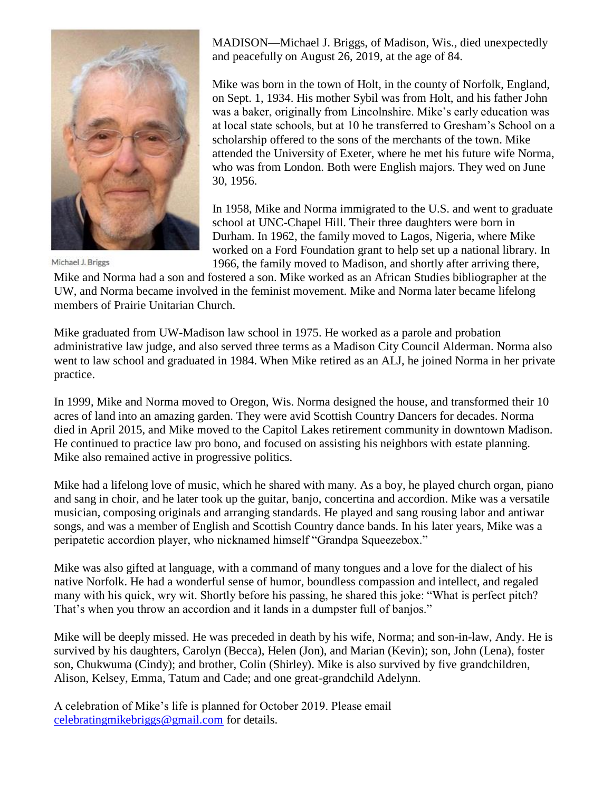

Michael J. Briggs

MADISON—Michael J. Briggs, of Madison, Wis., died unexpectedly and peacefully on August 26, 2019, at the age of 84.

Mike was born in the town of Holt, in the county of Norfolk, England, on Sept. 1, 1934. His mother Sybil was from Holt, and his father John was a baker, originally from Lincolnshire. Mike's early education was at local state schools, but at 10 he transferred to Gresham's School on a scholarship offered to the sons of the merchants of the town. Mike attended the University of Exeter, where he met his future wife Norma, who was from London. Both were English majors. They wed on June 30, 1956.

In 1958, Mike and Norma immigrated to the U.S. and went to graduate school at UNC-Chapel Hill. Their three daughters were born in Durham. In 1962, the family moved to Lagos, Nigeria, where Mike worked on a Ford Foundation grant to help set up a national library. In 1966, the family moved to Madison, and shortly after arriving there,

Mike and Norma had a son and fostered a son. Mike worked as an African Studies bibliographer at the UW, and Norma became involved in the feminist movement. Mike and Norma later became lifelong members of Prairie Unitarian Church.

Mike graduated from UW-Madison law school in 1975. He worked as a parole and probation administrative law judge, and also served three terms as a Madison City Council Alderman. Norma also went to law school and graduated in 1984. When Mike retired as an ALJ, he joined Norma in her private practice.

In 1999, Mike and Norma moved to Oregon, Wis. Norma designed the house, and transformed their 10 acres of land into an amazing garden. They were avid Scottish Country Dancers for decades. Norma died in April 2015, and Mike moved to the Capitol Lakes retirement community in downtown Madison. He continued to practice law pro bono, and focused on assisting his neighbors with estate planning. Mike also remained active in progressive politics.

Mike had a lifelong love of music, which he shared with many. As a boy, he played church organ, piano and sang in choir, and he later took up the guitar, banjo, concertina and accordion. Mike was a versatile musician, composing originals and arranging standards. He played and sang rousing labor and antiwar songs, and was a member of English and Scottish Country dance bands. In his later years, Mike was a peripatetic accordion player, who nicknamed himself "Grandpa Squeezebox."

Mike was also gifted at language, with a command of many tongues and a love for the dialect of his native Norfolk. He had a wonderful sense of humor, boundless compassion and intellect, and regaled many with his quick, wry wit. Shortly before his passing, he shared this joke: "What is perfect pitch? That's when you throw an accordion and it lands in a dumpster full of banjos."

Mike will be deeply missed. He was preceded in death by his wife, Norma; and son-in-law, Andy. He is survived by his daughters, Carolyn (Becca), Helen (Jon), and Marian (Kevin); son, John (Lena), foster son, Chukwuma (Cindy); and brother, Colin (Shirley). Mike is also survived by five grandchildren, Alison, Kelsey, Emma, Tatum and Cade; and one great-grandchild Adelynn.

A celebration of Mike's life is planned for October 2019. Please email [celebratingmikebriggs@gmail.com](mailto:celebratingmikebriggs@gmail.com) for details.